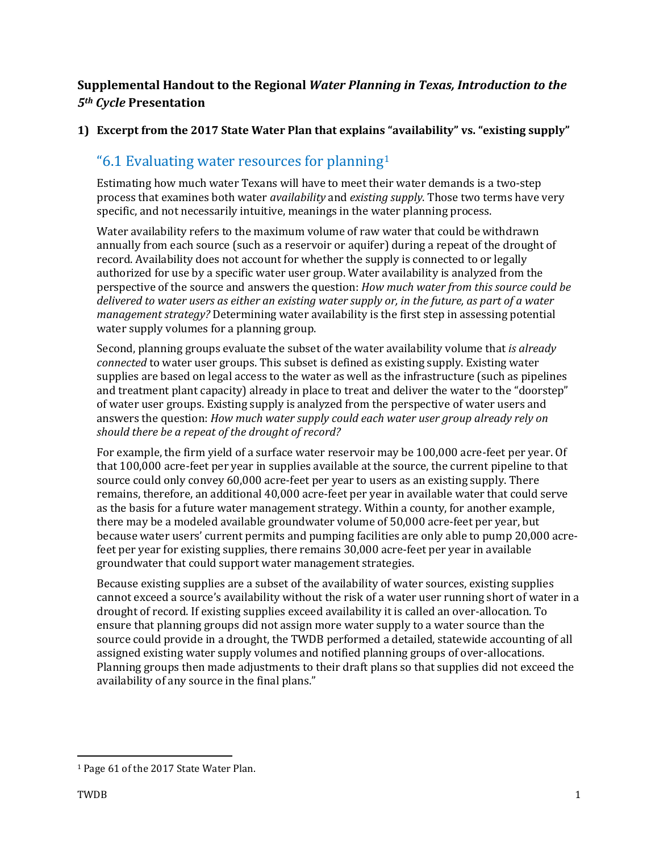## **Supplemental Handout to the Regional** *Water Planning in Texas, Introduction to the 5th Cycle* **Presentation**

### **1) Excerpt from the 2017 State Water Plan that explains "availability" vs. "existing supply"**

# "6.[1](#page-0-0) Evaluating water resources for planning<sup>1</sup>

Estimating how much water Texans will have to meet their water demands is a two-step process that examines both water *availability* and *existing supply*. Those two terms have very specific, and not necessarily intuitive, meanings in the water planning process.

Water availability refers to the maximum volume of raw water that could be withdrawn annually from each source (such as a reservoir or aquifer) during a repeat of the drought of record. Availability does not account for whether the supply is connected to or legally authorized for use by a specific water user group. Water availability is analyzed from the perspective of the source and answers the question: *How much water from this source could be delivered to water users as either an existing water supply or, in the future, as part of a water management strategy?* Determining water availability is the first step in assessing potential water supply volumes for a planning group.

Second, planning groups evaluate the subset of the water availability volume that *is already connected* to water user groups. This subset is defined as existing supply. Existing water supplies are based on legal access to the water as well as the infrastructure (such as pipelines and treatment plant capacity) already in place to treat and deliver the water to the "doorstep" of water user groups. Existing supply is analyzed from the perspective of water users and answers the question: *How much water supply could each water user group already rely on should there be a repeat of the drought of record?* 

For example, the firm yield of a surface water reservoir may be 100,000 acre-feet per year. Of that 100,000 acre-feet per year in supplies available at the source, the current pipeline to that source could only convey 60,000 acre-feet per year to users as an existing supply. There remains, therefore, an additional 40,000 acre-feet per year in available water that could serve as the basis for a future water management strategy. Within a county, for another example, there may be a modeled available groundwater volume of 50,000 acre-feet per year, but because water users' current permits and pumping facilities are only able to pump 20,000 acrefeet per year for existing supplies, there remains 30,000 acre-feet per year in available groundwater that could support water management strategies.

Because existing supplies are a subset of the availability of water sources, existing supplies cannot exceed a source's availability without the risk of a water user running short of water in a drought of record. If existing supplies exceed availability it is called an over-allocation. To ensure that planning groups did not assign more water supply to a water source than the source could provide in a drought, the TWDB performed a detailed, statewide accounting of all assigned existing water supply volumes and notified planning groups of over-allocations. Planning groups then made adjustments to their draft plans so that supplies did not exceed the availability of any source in the final plans."

l

<span id="page-0-0"></span><sup>1</sup> Page 61 of the 2017 State Water Plan.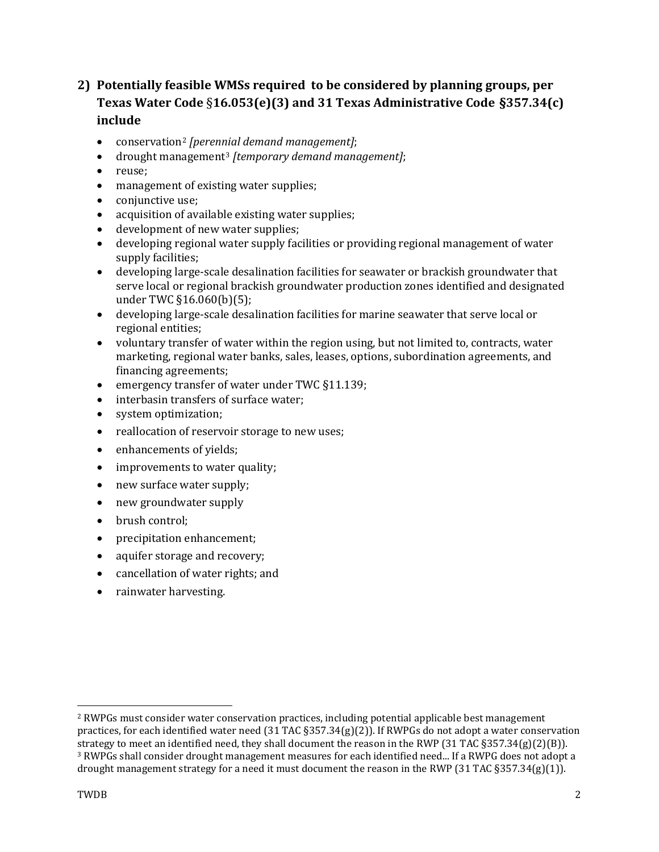## **2) Potentially feasible WMSs required to be considered by planning groups, per Texas Water Code** §**16.053(e)(3) and 31 Texas Administrative Code §357.34(c) include**

- conservation[2](#page-1-0) *[peren[ni](#page-1-1)al demand management]*;
- drought management3 *[temporary demand management]*;
- reuse;
- management of existing water supplies;
- conjunctive use;
- acquisition of available existing water supplies;<br>• development of new water supplies:
- development of new water supplies;
- developing regional water supply facilities or providing regional management of water supply facilities;
- developing large-scale desalination facilities for seawater or brackish groundwater that serve local or regional brackish groundwater production zones identified and designated under TWC §16.060(b)(5);
- developing large-scale desalination facilities for marine seawater that serve local or regional entities;
- voluntary transfer of water within the region using, but not limited to, contracts, water marketing, regional water banks, sales, leases, options, subordination agreements, and financing agreements;
- emergency transfer of water under TWC §11.139;
- interbasin transfers of surface water;
- system optimization;
- reallocation of reservoir storage to new uses;
- enhancements of yields;
- improvements to water quality;
- new surface water supply;
- new groundwater supply
- brush control;
- precipitation enhancement;
- aquifer storage and recovery;
- cancellation of water rights; and
- rainwater harvesting.

 $\overline{\phantom{a}}$ 

<span id="page-1-1"></span><span id="page-1-0"></span><sup>2</sup> RWPGs must consider water conservation practices, including potential applicable best management practices, for each identified water need (31 TAC §357.34(g)(2)). If RWPGs do not adopt a water conservation strategy to meet an identified need, they shall document the reason in the RWP (31 TAC  $\S 357.34(g)(2)(B)$ ). <sup>3</sup> RWPGs shall consider drought management measures for each identified need... If a RWPG does not adopt a drought management strategy for a need it must document the reason in the RWP (31 TAC  $\S 357.34(g)(1)$ ).